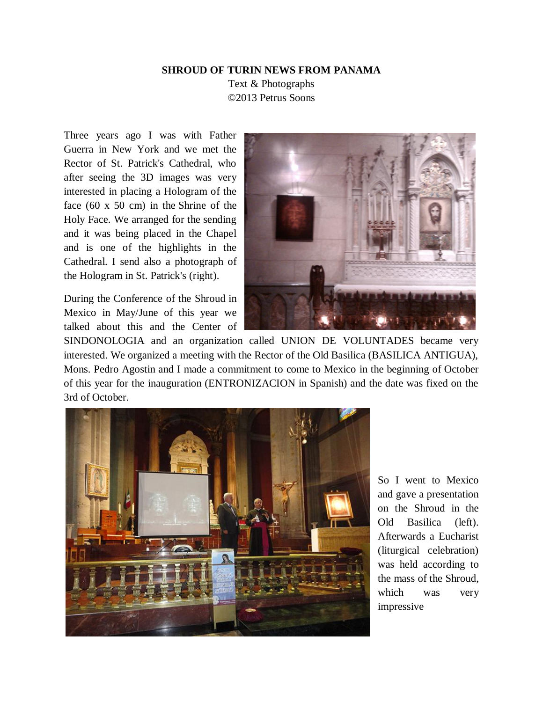## **SHROUD OF TURIN NEWS FROM PANAMA**

Text & Photographs ©2013 Petrus Soons

Three years ago I was with Father Guerra in New York and we met the Rector of St. Patrick's Cathedral, who after seeing the 3D images was very interested in placing a Hologram of the face (60 x 50 cm) in the Shrine of the Holy Face. We arranged for the sending and it was being placed in the Chapel and is one of the highlights in the Cathedral. I send also a photograph of the Hologram in St. Patrick's (right).

During the Conference of the Shroud in Mexico in May/June of this year we talked about this and the Center of



SINDONOLOGIA and an organization called UNION DE VOLUNTADES became very interested. We organized a meeting with the Rector of the Old Basilica (BASILICA ANTIGUA), Mons. Pedro Agostin and I made a commitment to come to Mexico in the beginning of October of this year for the inauguration (ENTRONIZACION in Spanish) and the date was fixed on the 3rd of October.



So I went to Mexico and gave a presentation on the Shroud in the Old Basilica (left). Afterwards a Eucharist (liturgical celebration) was held according to the mass of the Shroud, which was very impressive